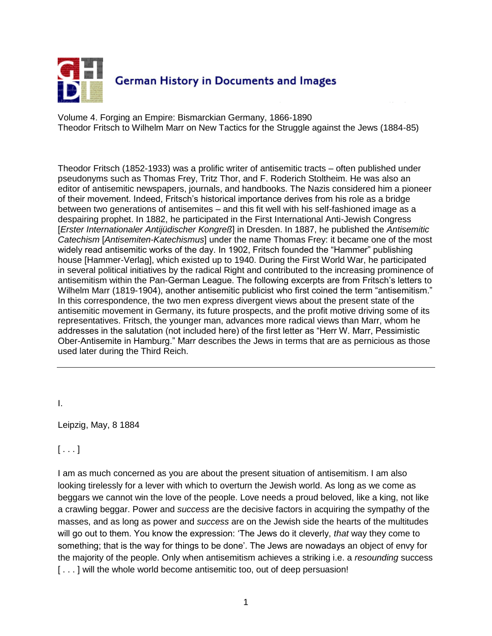

Volume 4. Forging an Empire: Bismarckian Germany, 1866-1890 Theodor Fritsch to Wilhelm Marr on New Tactics for the Struggle against the Jews (1884-85)

Theodor Fritsch (1852-1933) was a prolific writer of antisemitic tracts – often published under pseudonyms such as Thomas Frey, Tritz Thor, and F. Roderich Stoltheim. He was also an editor of antisemitic newspapers, journals, and handbooks. The Nazis considered him a pioneer of their movement. Indeed, Fritsch's historical importance derives from his role as a bridge between two generations of antisemites – and this fit well with his self-fashioned image as a despairing prophet. In 1882, he participated in the First International Anti-Jewish Congress [*Erster Internationaler Antijüdischer Kongreß*] in Dresden. In 1887, he published the *Antisemitic Catechism* [*Antisemiten-Katechismus*] under the name Thomas Frey: it became one of the most widely read antisemitic works of the day. In 1902, Fritsch founded the "Hammer" publishing house [Hammer-Verlag], which existed up to 1940. During the First World War, he participated in several political initiatives by the radical Right and contributed to the increasing prominence of antisemitism within the Pan-German League. The following excerpts are from Fritsch"s letters to Wilhelm Marr (1819-1904), another antisemitic publicist who first coined the term "antisemitism." In this correspondence, the two men express divergent views about the present state of the antisemitic movement in Germany, its future prospects, and the profit motive driving some of its representatives. Fritsch, the younger man, advances more radical views than Marr, whom he addresses in the salutation (not included here) of the first letter as "Herr W. Marr, Pessimistic Ober-Antisemite in Hamburg." Marr describes the Jews in terms that are as pernicious as those used later during the Third Reich.

I.

Leipzig, May, 8 1884

 $[ \ldots ]$ 

I am as much concerned as you are about the present situation of antisemitism. I am also looking tirelessly for a lever with which to overturn the Jewish world. As long as we come as beggars we cannot win the love of the people. Love needs a proud beloved, like a king, not like a crawling beggar. Power and *success* are the decisive factors in acquiring the sympathy of the masses, and as long as power and *success* are on the Jewish side the hearts of the multitudes will go out to them. You know the expression: "The Jews do it cleverly, *that* way they come to something; that is the way for things to be done'. The Jews are nowadays an object of envy for the majority of the people. Only when antisemitism achieves a striking i.e. a *resounding* success [...] will the whole world become antisemitic too, out of deep persuasion!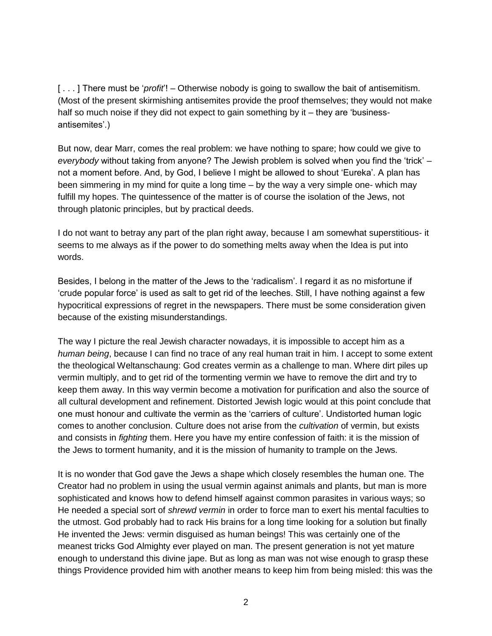[...] There must be '*profit*'! – Otherwise nobody is going to swallow the bait of antisemitism. (Most of the present skirmishing antisemites provide the proof themselves; they would not make half so much noise if they did not expect to gain something by it – they are 'businessantisemites'.)

But now, dear Marr, comes the real problem: we have nothing to spare; how could we give to *everybody* without taking from anyone? The Jewish problem is solved when you find the "trick" – not a moment before. And, by God, I believe I might be allowed to shout "Eureka". A plan has been simmering in my mind for quite a long time – by the way a very simple one- which may fulfill my hopes. The quintessence of the matter is of course the isolation of the Jews, not through platonic principles, but by practical deeds.

I do not want to betray any part of the plan right away, because I am somewhat superstitious- it seems to me always as if the power to do something melts away when the Idea is put into words.

Besides, I belong in the matter of the Jews to the "radicalism". I regard it as no misfortune if "crude popular force" is used as salt to get rid of the leeches. Still, I have nothing against a few hypocritical expressions of regret in the newspapers. There must be some consideration given because of the existing misunderstandings.

The way I picture the real Jewish character nowadays, it is impossible to accept him as a *human being*, because I can find no trace of any real human trait in him. I accept to some extent the theological Weltanschaung: God creates vermin as a challenge to man. Where dirt piles up vermin multiply, and to get rid of the tormenting vermin we have to remove the dirt and try to keep them away. In this way vermin become a motivation for purification and also the source of all cultural development and refinement. Distorted Jewish logic would at this point conclude that one must honour and cultivate the vermin as the "carriers of culture". Undistorted human logic comes to another conclusion. Culture does not arise from the *cultivation* of vermin, but exists and consists in *fighting* them. Here you have my entire confession of faith: it is the mission of the Jews to torment humanity, and it is the mission of humanity to trample on the Jews.

It is no wonder that God gave the Jews a shape which closely resembles the human one. The Creator had no problem in using the usual vermin against animals and plants, but man is more sophisticated and knows how to defend himself against common parasites in various ways; so He needed a special sort of *shrewd vermin* in order to force man to exert his mental faculties to the utmost. God probably had to rack His brains for a long time looking for a solution but finally He invented the Jews: vermin disguised as human beings! This was certainly one of the meanest tricks God Almighty ever played on man. The present generation is not yet mature enough to understand this divine jape. But as long as man was not wise enough to grasp these things Providence provided him with another means to keep him from being misled: this was the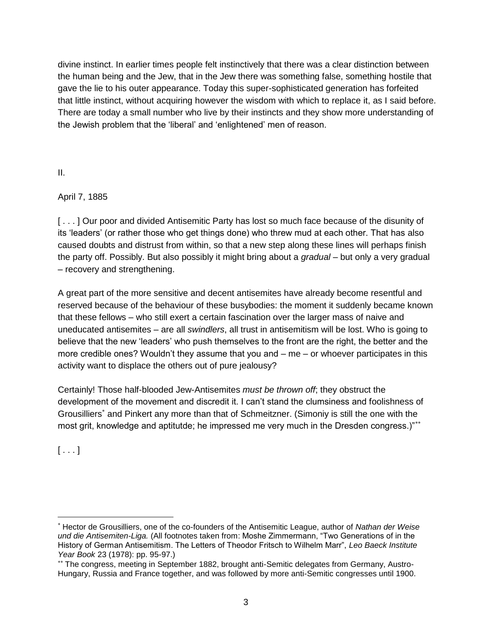divine instinct. In earlier times people felt instinctively that there was a clear distinction between the human being and the Jew, that in the Jew there was something false, something hostile that gave the lie to his outer appearance. Today this super-sophisticated generation has forfeited that little instinct, without acquiring however the wisdom with which to replace it, as I said before. There are today a small number who live by their instincts and they show more understanding of the Jewish problem that the "liberal" and "enlightened" men of reason.

II.

April 7, 1885

[...] Our poor and divided Antisemitic Party has lost so much face because of the disunity of its "leaders" (or rather those who get things done) who threw mud at each other. That has also caused doubts and distrust from within, so that a new step along these lines will perhaps finish the party off. Possibly. But also possibly it might bring about a *gradual* – but only a very gradual – recovery and strengthening.

A great part of the more sensitive and decent antisemites have already become resentful and reserved because of the behaviour of these busybodies: the moment it suddenly became known that these fellows – who still exert a certain fascination over the larger mass of naive and uneducated antisemites – are all *swindlers*, all trust in antisemitism will be lost. Who is going to believe that the new "leaders" who push themselves to the front are the right, the better and the more credible ones? Wouldn"t they assume that you and – me – or whoever participates in this activity want to displace the others out of pure jealousy?

Certainly! Those half-blooded Jew-Antisemites *must be thrown off*; they obstruct the development of the movement and discredit it. I can"t stand the clumsiness and foolishness of Grousilliers<sup>\*</sup> and Pinkert any more than that of Schmeitzner. (Simoniy is still the one with the most grit, knowledge and aptitutde; he impressed me very much in the Dresden congress.)"

 $[\ldots]$ 

 $\overline{a}$ 

Hector de Grousilliers, one of the co-founders of the Antisemitic League, author of *Nathan der Weise und die Antisemiten-Liga.* (All footnotes taken from: Moshe Zimmermann, "Two Generations of in the History of German Antisemitism. The Letters of Theodor Fritsch to Wilhelm Marr", *Leo Baeck Institute Year Book* 23 (1978): pp. 95-97.)

<sup>\*\*</sup> The congress, meeting in September 1882, brought anti-Semitic delegates from Germany, Austro-Hungary, Russia and France together, and was followed by more anti-Semitic congresses until 1900.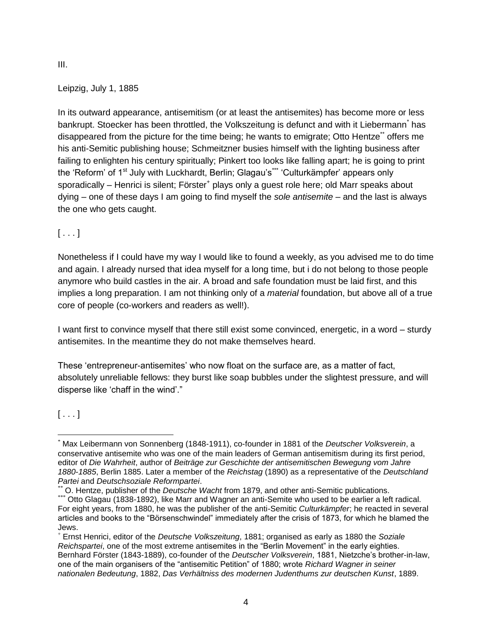III.

Leipzig, July 1, 1885

In its outward appearance, antisemitism (or at least the antisemites) has become more or less bankrupt. Stoecker has been throttled, the Volkszeitung is defunct and with it Liebermann<sup>\*</sup> has disappeared from the picture for the time being; he wants to emigrate; Otto Hentze\*\* offers me his anti-Semitic publishing house; Schmeitzner busies himself with the lighting business after failing to enlighten his century spiritually; Pinkert too looks like falling apart; he is going to print the 'Reform' of 1<sup>st</sup> July with Luckhardt, Berlin; Glagau's<sup>\*\*\*</sup> 'Culturkämpfer' appears only sporadically – Henrici is silent; Förster<sup>+</sup> plays only a guest role here; old Marr speaks about dying – one of these days I am going to find myself the *sole antisemite* – and the last is always the one who gets caught.

## $[ \ldots ]$

Nonetheless if I could have my way I would like to found a weekly, as you advised me to do time and again. I already nursed that idea myself for a long time, but i do not belong to those people anymore who build castles in the air. A broad and safe foundation must be laid first, and this implies a long preparation. I am not thinking only of a *material* foundation, but above all of a true core of people (co-workers and readers as well!).

I want first to convince myself that there still exist some convinced, energetic, in a word – sturdy antisemites. In the meantime they do not make themselves heard.

These "entrepreneur-antisemites" who now float on the surface are, as a matter of fact, absolutely unreliable fellows: they burst like soap bubbles under the slightest pressure, and will disperse like 'chaff in the wind'."

 $[\ldots]$ 

\*\* O. Hentze, publisher of the *Deutsche Wacht* from 1879, and other anti-Semitic publications.

 $\overline{a}$ \* Max Leibermann von Sonnenberg (1848-1911), co-founder in 1881 of the *Deutscher Volksverein*, a conservative antisemite who was one of the main leaders of German antisemitism during its first period, editor of *Die Wahrheit*, author of *Beiträge zur Geschichte der antisemitischen Bewegung vom Jahre 1880-1885*, Berlin 1885. Later a member of the *Reichstag* (1890) as a representative of the *Deutschland Partei* and *Deutschsoziale Reformpartei*.

<sup>\*\*\*</sup> Otto Glagau (1838-1892), like Marr and Wagner an anti-Semite who used to be earlier a left radical. For eight years, from 1880, he was the publisher of the anti-Semitic *Culturkämpfer*; he reacted in several articles and books to the "Börsenschwindel" immediately after the crisis of 1873, for which he blamed the Jews.

<sup>+</sup> Ernst Henrici, editor of the *Deutsche Volkszeitung*, 1881; organised as early as 1880 the *Soziale Reichspartei*, one of the most extreme antisemites in the "Berlin Movement" in the early eighties. Bernhard Förster (1843-1889), co-founder of the *Deutscher Volksverein*, 1881, Nietzche"s brother-in-law, one of the main organisers of the "antisemitic Petition" of 1880; wrote *Richard Wagner in seiner nationalen Bedeutung*, 1882, *Das Verhältniss des modernen Judenthums zur deutschen Kunst*, 1889.